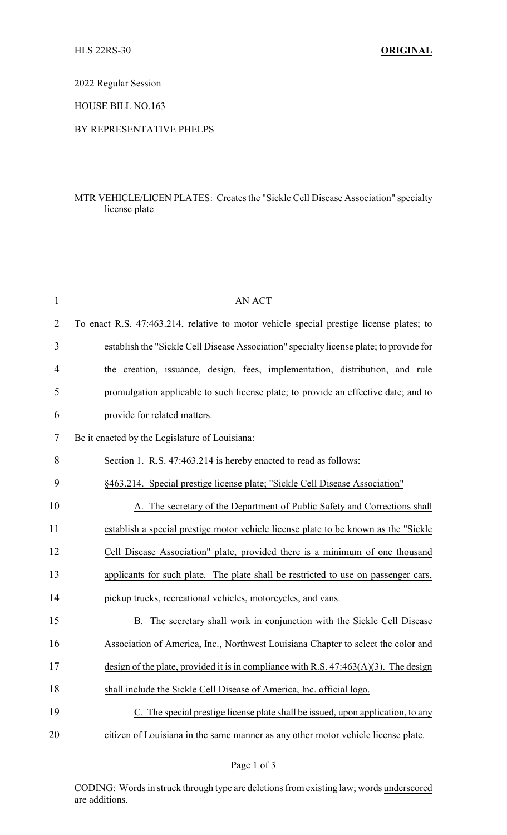2022 Regular Session

HOUSE BILL NO.163

## BY REPRESENTATIVE PHELPS

## MTR VEHICLE/LICEN PLATES: Creates the "Sickle Cell Disease Association" specialty license plate

| $\mathbf{1}$ | <b>AN ACT</b>                                                                           |
|--------------|-----------------------------------------------------------------------------------------|
| 2            | To enact R.S. 47:463.214, relative to motor vehicle special prestige license plates; to |
| 3            | establish the "Sickle Cell Disease Association" specialty license plate; to provide for |
| 4            | the creation, issuance, design, fees, implementation, distribution, and rule            |
| 5            | promulgation applicable to such license plate; to provide an effective date; and to     |
| 6            | provide for related matters.                                                            |
| 7            | Be it enacted by the Legislature of Louisiana:                                          |
| 8            | Section 1. R.S. 47:463.214 is hereby enacted to read as follows:                        |
| 9            | §463.214. Special prestige license plate; "Sickle Cell Disease Association"             |
| 10           | A. The secretary of the Department of Public Safety and Corrections shall               |
| 11           | establish a special prestige motor vehicle license plate to be known as the "Sickle"    |
| 12           | Cell Disease Association" plate, provided there is a minimum of one thousand            |
| 13           | applicants for such plate. The plate shall be restricted to use on passenger cars,      |
| 14           | pickup trucks, recreational vehicles, motorcycles, and vans.                            |
| 15           | The secretary shall work in conjunction with the Sickle Cell Disease<br>В.              |
| 16           | Association of America, Inc., Northwest Louisiana Chapter to select the color and       |
| 17           | design of the plate, provided it is in compliance with R.S. $47:463(A)(3)$ . The design |
| 18           | shall include the Sickle Cell Disease of America, Inc. official logo.                   |
| 19           | C. The special prestige license plate shall be issued, upon application, to any         |
| 20           | citizen of Louisiana in the same manner as any other motor vehicle license plate.       |

CODING: Words in struck through type are deletions from existing law; words underscored are additions.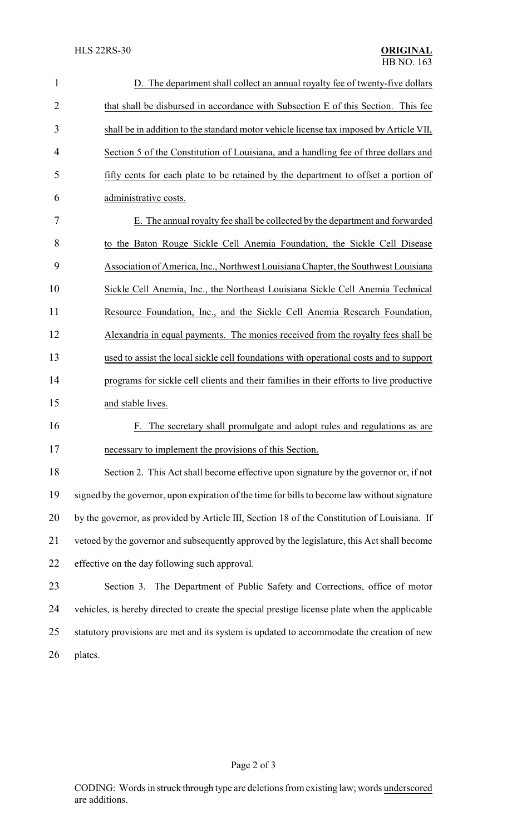| $\mathbf{1}$   | D. The department shall collect an annual royalty fee of twenty-five dollars                  |  |  |
|----------------|-----------------------------------------------------------------------------------------------|--|--|
| $\overline{2}$ | that shall be disbursed in accordance with Subsection E of this Section. This fee             |  |  |
| 3              | shall be in addition to the standard motor vehicle license tax imposed by Article VII,        |  |  |
| 4              | Section 5 of the Constitution of Louisiana, and a handling fee of three dollars and           |  |  |
| 5              | fifty cents for each plate to be retained by the department to offset a portion of            |  |  |
| 6              | administrative costs.                                                                         |  |  |
| 7              | E. The annual royalty fee shall be collected by the department and forwarded                  |  |  |
| 8              | to the Baton Rouge Sickle Cell Anemia Foundation, the Sickle Cell Disease                     |  |  |
| 9              | Association of America, Inc., Northwest Louisiana Chapter, the Southwest Louisiana            |  |  |
| 10             | Sickle Cell Anemia, Inc., the Northeast Louisiana Sickle Cell Anemia Technical                |  |  |
| 11             | Resource Foundation, Inc., and the Sickle Cell Anemia Research Foundation,                    |  |  |
| 12             | Alexandria in equal payments. The monies received from the royalty fees shall be              |  |  |
| 13             | used to assist the local sickle cell foundations with operational costs and to support        |  |  |
| 14             | programs for sickle cell clients and their families in their efforts to live productive       |  |  |
| 15             | and stable lives.                                                                             |  |  |
| 16             | The secretary shall promulgate and adopt rules and regulations as are<br>F.                   |  |  |
| 17             | necessary to implement the provisions of this Section.                                        |  |  |
| 18             | Section 2. This Act shall become effective upon signature by the governor or, if not          |  |  |
| 19             | signed by the governor, upon expiration of the time for bills to become law without signature |  |  |
| 20             | by the governor, as provided by Article III, Section 18 of the Constitution of Louisiana. If  |  |  |
| 21             | vetoed by the governor and subsequently approved by the legislature, this Act shall become    |  |  |
| 22             | effective on the day following such approval.                                                 |  |  |
| 23             | Section 3. The Department of Public Safety and Corrections, office of motor                   |  |  |
| 24             | vehicles, is hereby directed to create the special prestige license plate when the applicable |  |  |
| 25             | statutory provisions are met and its system is updated to accommodate the creation of new     |  |  |
| 26             | plates.                                                                                       |  |  |